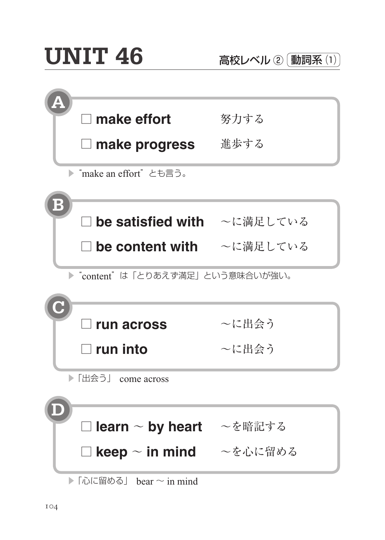| $\Box$ make effort              | 努力する  |
|---------------------------------|-------|
| $\Box$ make progress            | 進歩する  |
| ▶ "make an effort" とも言う。        |       |
|                                 |       |
| □ be satisfied with ~に満足している    |       |
| □ be content with ~に満足している      |       |
| ▶"content"は「とりあえず満足」という意味合いが強い。 |       |
|                                 |       |
| $\Box$ run across               | ~に出会う |
| $\Box$ run into                 | ~に出会う |
| ▶ 「出会う」 come across             |       |
|                                 |       |
| □ learn ~ by heart ~を暗記する       |       |
| □ keep ~ in mind   ~を心に留める      |       |
|                                 |       |

 $\blacktriangleright$  「心に留める」 bear  $\sim$  in mind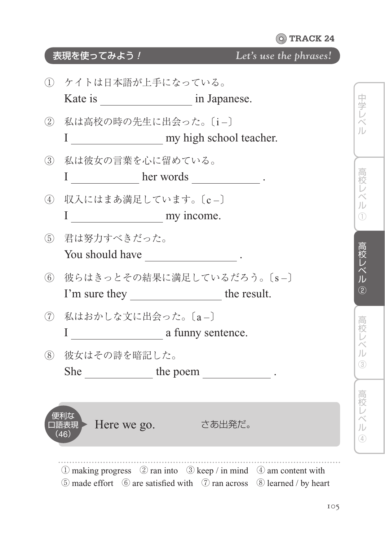## 表現を使ってみよう! *Let's use the phrases!*

|                | 1 ケイトは日本語が上手になっている。                                                                                                                                                                     |                                 |
|----------------|-----------------------------------------------------------------------------------------------------------------------------------------------------------------------------------------|---------------------------------|
|                | 2 私は高校の時の先生に出会った。〔i-〕                                                                                                                                                                   | 中学レベ<br>儿                       |
| $\circled{3}$  | 私は彼女の言葉を心に留めている。                                                                                                                                                                        | 高校                              |
| $\circled{4}$  | 収入にはまあ満足しています。[c-]                                                                                                                                                                      | 儿<br>Œ                          |
| (5)            | 君は努力すべきだった。                                                                                                                                                                             | 局校レベル                           |
| (6)            | 彼らはきっとその結果に満足しているだろう。[s-]                                                                                                                                                               | $\overline{c}$                  |
| $\circledcirc$ | 私はおかしな文に出会った。〔a-〕                                                                                                                                                                       |                                 |
| (8)            | 彼女はその詩を暗記した。                                                                                                                                                                            | 儿<br>$\sqrt{3}$                 |
|                | 便利な<br>口語表現 > Here we go.<br>- さあ出発だ。<br>(46)                                                                                                                                           | 高校 レベ<br>儿<br>$\left( 4\right)$ |
|                | $\circled{1}$ making progress $\circled{2}$ ran into $\circled{3}$ keep / in mind $\circled{4}$ am content with<br>5 made effort 6 are satisfied with 7 ran across 8 learned / by heart |                                 |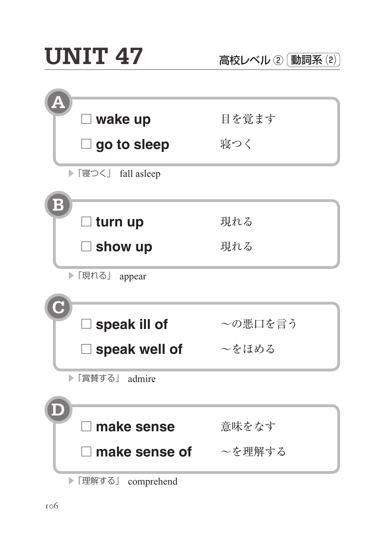| 目を覚ます   |
|---------|
| 寝つく     |
|         |
|         |
| 現れる     |
| 現れる     |
|         |
|         |
| ~の悪口を言う |
| ~をほめる   |
|         |
|         |
| 意味をなす   |
| ~を理解する  |
|         |

▶「理解する」 comprehend